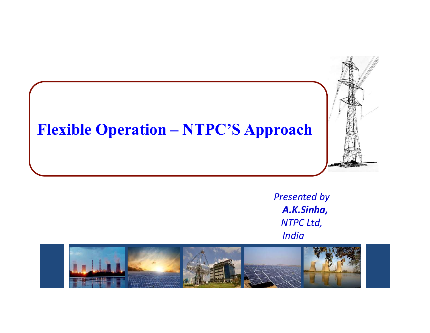# Flexible Operation – NTPC'S Approach



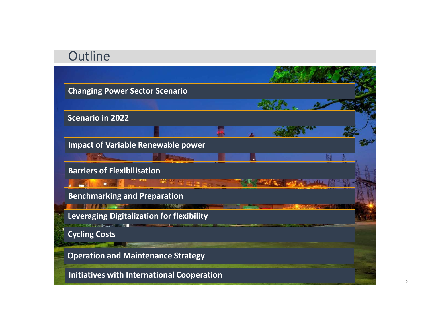# **Outline**

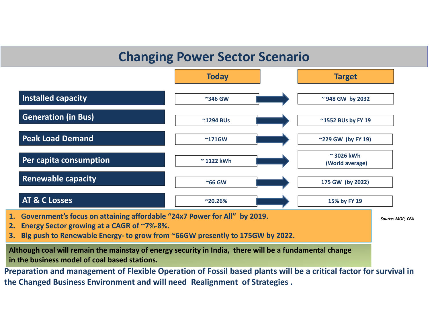# Changing Power Sector Scenario



- 
- Although coal will remain the mainstay of energy security in India, there will be a fundamental change in the business model of coal based stations.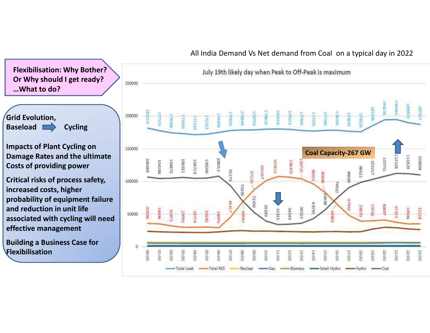

Grid Evolution, Grid Evolution,<br>Baseload Cycling

Impacts of Plant Cycling on **Damage Rates and the ultimate**<br> **Costs of providing power** Costs of providing power

Critical risks of process safety, and the second increased costs, higher probability of equipment failure and reduction in unit life **and reduction in unit life** and reduction in unit life and reduction in unit life and the society of the society of the society of the society of the society of the society of the society of the society of the society of the society of the society of effective management

Building a Business Case for **Fig. 1** Flexibilisation



# All India Demand Vs Net demand from Coal on a typical day in 2022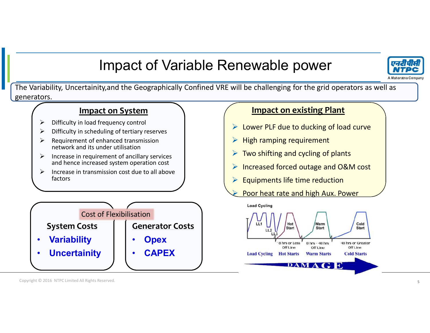# Impact of Variable Renewable power



The Variability, Uncertainity,and the Geographically Confined VRE will be challenging for the grid operators as well as generators.



- $\triangleright$  Difficulty in load frequency control
- $\triangleright$  Difficulty in scheduling of tertiary reserves
- $\triangleright$  Requirement of enhanced transmission network and its under utilisation
- $\triangleright$  Increase in requirement of ancillary services and hence increased system operation cost
- $\triangleright$  Increase in transmission cost due to all above factors

|                     | <b>Cost of Flexibilisation</b> |                        | <b>Load Cyc</b> |
|---------------------|--------------------------------|------------------------|-----------------|
| <b>System Costs</b> |                                | <b>Generator Costs</b> |                 |
| <b>Variability</b>  |                                | <b>Opex</b>            |                 |
| <b>Uncertainity</b> |                                | <b>CAPEX</b>           | <b>Load Cyc</b> |
|                     |                                |                        |                 |

# Impact on System  $\setminus$   $\setminus$  Impact on existing Plant

- ▶ Lower PLF due to ducking of load curve
- $\triangleright$  High ramping requirement
- $\triangleright$  Two shifting and cycling of plants
- Increased forced outage and O&M cost
- $\triangleright$  Equipments life time reduction
- Poor heat rate and high Aux. Power



Copyright © 2016 NTPC Limited All Rights Reserved.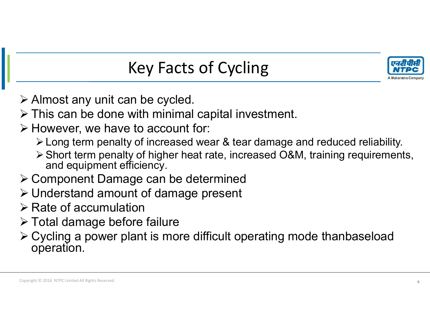

# Key Facts of Cycling

 $\triangleright$  Almost any unit can be cycled.

- $\triangleright$  This can be done with minimal capital investment.
- $\triangleright$  However, we have to account for:
	- Long term penalty of increased wear & tear damage and reduced reliability.
	- Short term penalty of higher heat rate, increased O&M, training requirements, and equipment efficiency.
- Component Damage can be determined
- Understand amount of damage present
- $\triangleright$  Rate of accumulation
- Total damage before failure
- Cycling a power plant is more difficult operating mode thanbaseload operation.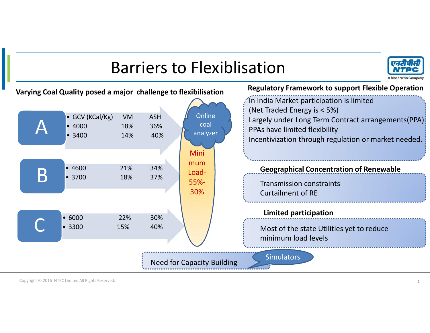# Barriers to Flexiblisation



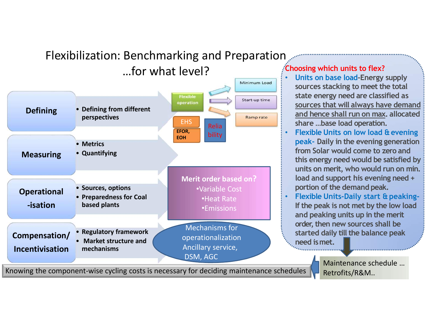# Flexibilization: Benchmarking and Preparation



Knowing the component-wise cycling costs is necessary for deciding maintenance schedules

# Choosing which units to flex?

- Choosing which units to flex?<br>
 Units on base load-Energy supply<br>
sources stacking to meet the total<br>
state energy need are classified as<br>
sources that will always have demand<br>
and bonce shall run on may allocated Framework and the total<br>Sources stacking to meet the total<br>Sources stacking to meet the total<br>state energy need are classified as<br>sources that will always have demand<br>and hence shall run on max, allocated<br>share, have lead state energy supply<br>sources stacking to meet the total<br>state energy need are classified as<br>sources that will always have demand<br>and hence shall run on max, allocated<br>share ...base load operation. sources that will always have demanded that will always have demanded that will always have demanded that will always have demanded that will always have demanded share ...base load operation.<br>Flexible Units on low load & For Solar world comes to the shall run of the shall run on max.<br>
Thits on base load-Energy supply<br>
sources stacking to meet the total<br>
state energy need are classified as<br>
sources that will always have demand<br>
and hence sh share which units to flex?<br>Units on base load-Energy supply<br>sources stacking to meet the total<br>state energy need are classified as<br>sources that will always have demand<br>and hence shall run on max. allocated<br>share ...base lo Relia Relia Relia Relia Relia Relia Relia Relia Relia Relia Relia Relia Relia Relia Relia Relia Relia Relia R
- Merit order based on?  $\blacksquare$  load and support his evening need +<br> $\blacksquare$ • Flexible Units on low load & evening peak- Daily in the evening generation from Solar would come to zero and For this energy supply<br>
this on base load-Energy supply<br>
sources stacking to meet the total<br>
state energy need are classified as<br>
<u>sources that will always have demand<br>
and hence shall run on max</u>, allocated<br>
share ...base **Example 12**<br> **Example 10**<br> **Units on base load-Energy supply**<br> **Sources stacking to meet the total**<br> **state energy need are classified as**<br> **sources that will always have demand**<br> **and hence shall run on max**, allocated<br> **Example 19 and support of the support of the support of the support of the support of the support of the support of the support of the support of the support of the support of the evening peak- Daily in the evening genera** posing which units to flex?<br>Units on base load-Energy supply<br>sources stacking to meet the total<br>state energy need are classified as<br>sources that will always have demand<br>and hence shall run on max. allocated<br>share ...base l **Choosing which units to flex?**<br>
• Units on base load-Energy supply<br>
sources stacking to meet the total<br>
state energy need are classified as<br>
<u>sources that will always have demand</u><br>
and hence shall run on max. allocated<br> **Doosing which units to flex?**<br>
Units on base load-Energy supply<br>
sources stacking to meet the total<br>
state energy need are classified as<br>
<u>sources that will always have demand</u><br>
and hence shall run on max. allocated<br>
shar Units on base load-Energy supply<br>sources stacking to meet the total<br>state energy need are classified as<br>sources that will always have demand<br>and hence shall run on max. allocated<br>share ...base load operation.<br>Flexible Unit
	- •Heat Rate **The Rate of the peak is not met by the low load** •Emissions **Consumer 19 Feature 19 Feature 19 Feature 19 Feature 19 Feature 19 Feature 19 Feature 19 Feature 1**<br>**Emissions** and peaking units up in the merit order, then new sources shall be started daily till the balance peak

need ismet.

Maintenance schedule … Retrofits/R&M..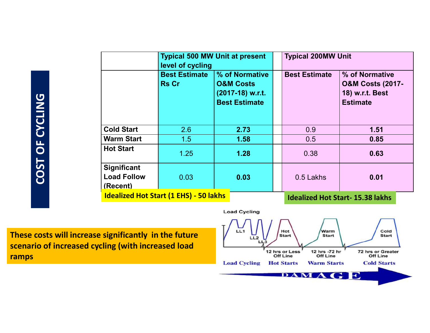|                    | level of cycling                              | <b>Typical 500 MW Unit at present</b> | <b>Typical 200MW Unit</b> |                                        |
|--------------------|-----------------------------------------------|---------------------------------------|---------------------------|----------------------------------------|
|                    | <b>Best Estimate</b>                          | % of Normative                        | <b>Best Estimate</b>      | % of Normative                         |
|                    | <b>Rs Cr</b>                                  | <b>O&amp;M Costs</b>                  |                           | <b>O&amp;M Costs (2017-</b>            |
|                    |                                               | (2017-18) w.r.t.                      |                           | 18) w.r.t. Best                        |
|                    |                                               | <b>Best Estimate</b>                  |                           | <b>Estimate</b>                        |
|                    |                                               |                                       |                           |                                        |
| <b>Cold Start</b>  | 2.6                                           | 2.73                                  | 0.9                       | $1.51$                                 |
| <b>Warm Start</b>  | 1.5                                           | 1.58                                  | 0.5                       | 0.85                                   |
| <b>Hot Start</b>   | 1.25                                          | 1.28                                  | 0.38                      | 0.63                                   |
| Significant        |                                               |                                       |                           |                                        |
| <b>Load Follow</b> | 0.03                                          | 0.03                                  | 0.5 Lakhs                 | 0.01                                   |
| (Recent)           | <b>Idealized Hot Start (1 EHS) - 50 lakhs</b> |                                       |                           |                                        |
|                    |                                               |                                       |                           | <b>Idealized Hot Start-15.38 lakhs</b> |

These costs will increase significantly in the future  $\sqrt{1 + \frac{1}{2}}$ scenario of increased cycling (with increased load ramps

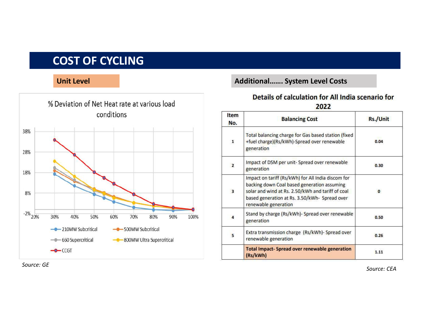# COST OF CYCLING

# Unit Level **Additional** Level Costs **Additional** Level Costs



## Details of calculation for All India scenario for 2022

| Item<br>No.             | <b>Balancing Cost</b>                                                                                                                                                                                                           | Rs./Unit |
|-------------------------|---------------------------------------------------------------------------------------------------------------------------------------------------------------------------------------------------------------------------------|----------|
| $\mathbf{1}$            | Total balancing charge for Gas based station (fixed<br>+fuel charge)(Rs/kWh)-Spread over renewable<br>generation                                                                                                                | 0.04     |
| $\overline{\mathbf{z}}$ | Impact of DSM per unit- Spread over renewable<br>generation                                                                                                                                                                     | 0.30     |
| 3                       | Impact on tariff (Rs/kWh) for All India discom for<br>backing down Coal based generation assuming<br>solar and wind at Rs. 2.50/kWh and tariff of coal<br>based generation at Rs. 3.50/kWh- Spread over<br>renewable generation | $\Omega$ |
| 4                       | Stand by charge (Rs/kWh)- Spread over renewable<br>generation                                                                                                                                                                   | 0.50     |
| 5                       | Extra transmission charge (Rs/kWh)- Spread over<br>renewable generation                                                                                                                                                         | 0.26     |
|                         | <b>Total Impact-Spread over renewable generation</b><br>(Rs/kWh)                                                                                                                                                                | 1.11     |

Source: GE

Source: CEA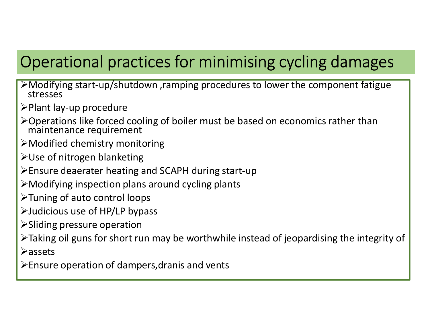- Operational practices for minimising cycling damages Modifying start-up/shutdown ,ramping procedures to lower the component fatigue stresses **Operational practices for minimising cycling da**<br>
Ensured in the start-up/shutdown , ramping procedures to lower the compon<br>
stresses<br>
>Plant lay-up procedure<br>
>Operations like forced cooling of boiler must be based on ec
- $\triangleright$ Plant lay-up procedure
- Operations like forced cooling of boiler must be based on economics rather than maintenance requirement
- Modified chemistry monitoring
- Use of nitrogen blanketing
- 
- Modifying inspection plans around cycling plants
- $\triangleright$  Tuning of auto control loops
- Judicious use of HP/LP bypass
- Sliding pressure operation
- Part lay-up procedure<br>
Deprations like forced cooling of boiler must be based on economics rather than<br>
maintenance requirement<br>
PModified chemistry monitoring<br>
DUSE of nitrogen blanketing<br>
DEP is short run part of SCAPH **≻assets** Modified chemistry monitoring<br>
Exposition of the Modified chemistry monitoring<br>
Ensure deaerater heating and SCAPH during start-up<br>
Ensure deaerater heating and SCAPH during start-up<br>
Exposition plans around cycling plant
-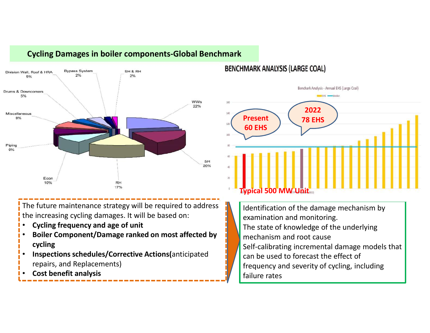

# Cycling Damages in boiler components-Global Benchmark

### **BENCHMARK ANALYSIS (LARGE COAL)**



The future maintenance strategy will be required to address the increasing cycling damages. It will be based on:

- Cycling frequency and age of unit
- Boiler Component/Damage ranked on most affected by cycling
- Inspections schedules/Corrective Actions(anticipated repairs, and Replacements)
- Cost benefit analysis

Identification of the damage mechanism by examination and monitoring. The state of knowledge of the underlying mechanism and root cause Self-calibrating incremental damage models that can be used to forecast the effect of frequency and severity of cycling, including failure rates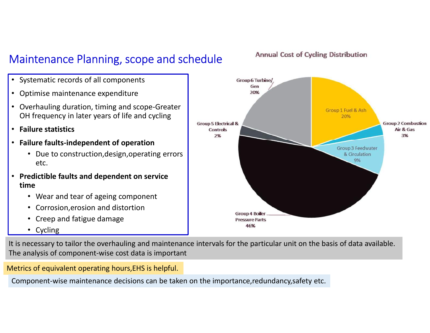# Maintenance Planning, scope and schedule



- Systematic records of all components
- Optimise maintenance expenditure
- Overhauling duration, timing and scope-Greater OH frequency in later years of life and cycling
- Failure statistics
- Failure faults-independent of operation
	- etc.
- time
	- Wear and tear of ageing component
	-
	- Creep and fatigue damage
	- Cycling

It is necessary to tailor the overhauling and maintenance intervals for the particular unit on the basis of data available. The analysis of component-wise cost data is important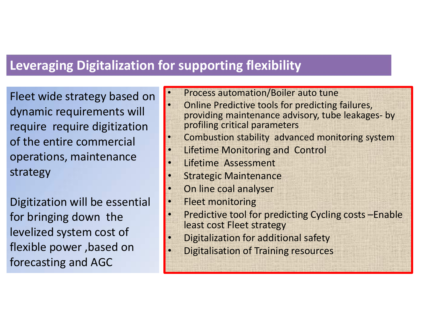# Leveraging Digitalization for supporting flexibility

Fleet wide strategy based on dynamic requirements will require require digitization of the entire commercial operations, maintenance strategy

Digitization will be essential for bringing down the levelized system cost of flexible power ,based on forecasting and AGC

|           | <b>Dr supporting flexibility</b>                                                                                                       |
|-----------|----------------------------------------------------------------------------------------------------------------------------------------|
|           |                                                                                                                                        |
|           | Process automation/Boiler auto tune                                                                                                    |
| $\bullet$ | Online Predictive tools for predicting failures,<br>providing maintenance advisory, tube leakages- by<br>profiling critical parameters |
| $\bullet$ | Combustion stability advanced monitoring system                                                                                        |
| $\bullet$ | Lifetime Monitoring and Control                                                                                                        |
| $\bullet$ | Lifetime Assessment                                                                                                                    |
| $\bullet$ | <b>Strategic Maintenance</b>                                                                                                           |
| $\bullet$ | On line coal analyser                                                                                                                  |
| $\bullet$ | <b>Fleet monitoring</b>                                                                                                                |
| $\bullet$ | Predictive tool for predicting Cycling costs – Enable<br>least cost Fleet strategy                                                     |
|           | Digitalization for additional safety                                                                                                   |
|           | <b>Digitalisation of Training resources</b>                                                                                            |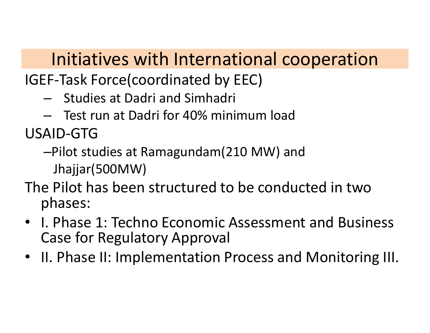# Initiatives with International cooperation **Initiatives with International cooperation**<br>EF-Task Force(coordinated by EEC)<br>— Studies at Dadri and Simhadri<br>— Test run at Dadri for 40% minimum load<br>AID-GTG<br>—Pilot studies at Ramagundam(210 MW) and

IGEF-Task Force(coordinated by EEC)

- 
- 

USAID-GTG

–Pilot studies at Ramagundam(210 MW) and

Jhajjar(500MW)

- The Pilot has been structured to be conducted in two phases:
- I. Phase 1: Techno Economic Assessment and Business Case for Regulatory Approval
- II. Phase II: Implementation Process and Monitoring III.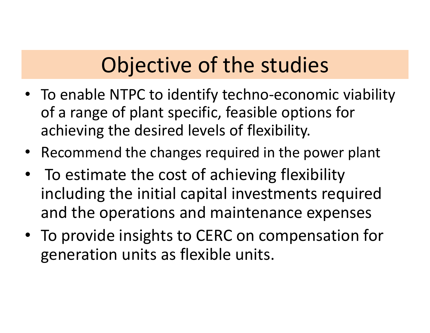# Objective of the studies

- To enable NTPC to identify techno-economic viability of a range of plant specific, feasible options for achieving the desired levels of flexibility.
- Recommend the changes required in the power plant
- To estimate the cost of achieving flexibility including the initial capital investments required and the operations and maintenance expenses
- To provide insights to CERC on compensation for generation units as flexible units.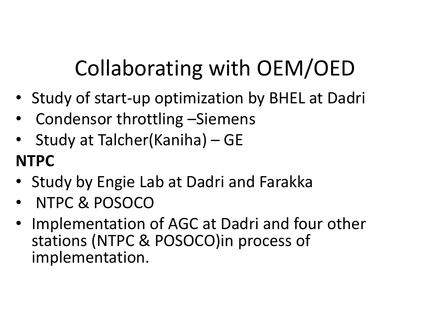# Collaborating with OEM/OED

- Study of start-up optimization by BHEL at Dadri
- 
- Collaborating with OEM/<br>• Study of start-up optimization by BHEL a<br>• Condensor throttling –Siemens<br>• Study at Talcher(Kaniha) GE<br>NTPC Collaborating with OEM/OED<br>• Study of start-up optimization by BHEL at Dadri<br>• Condensor throttling –Siemens<br>• Study at Talcher(Kaniha) – GE<br>• Study by Engie Lab at Dadri and Earakka NTPC Collaborating with OEM/OED<br>• Study of start-up optimization by BHEL at Dadri<br>• Condensor throttling –Siemens<br>• Study at Talcher(Kaniha) – GE<br>• Study by Engie Lab at Dadri and Farakka<br>• NTPC & POSOCO<br>• Implementation of AGC
- 
- NTPC & POSOCO
- Study of start-up optimization by BHEL at Dadri<br>• Condensor throttling –Siemens<br>• Study at Talcher(Kaniha) GE<br>• Study by Engie Lab at Dadri and Farakka<br>• NTPC & POSOCO<br>• Implementation of AGC at Dadri and four other<br>st stations (NTPC & POSOCO)in process of implementation.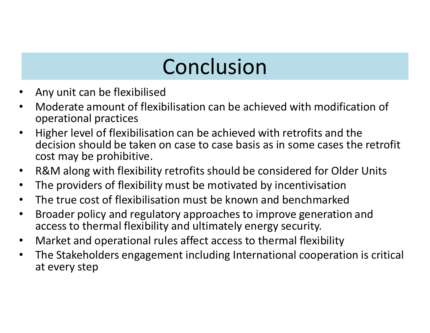# Conclusion

- Any unit can be flexibilised
- Moderate amount of flexibilisation can be achieved with modification of operational practices
- Higher level of flexibilisation can be achieved with retrofits and the decision should be taken on case to case basis as in some cases the retrofit cost may be prohibitive.
- R&M along with flexibility retrofits should be considered for Older Units
- The providers of flexibility must be motivated by incentivisation
- The true cost of flexibilisation must be known and benchmarked
- Broader policy and regulatory approaches to improve generation and access to thermal flexibility and ultimately energy security.
- Market and operational rules affect access to thermal flexibility
- The Stakeholders engagement including International cooperation is critical at every step